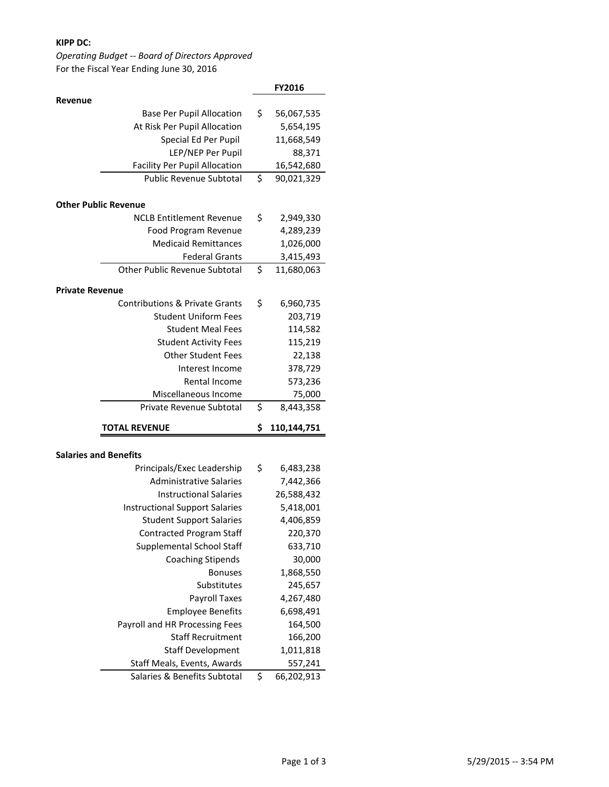## **KIPP DC:**

# *Operating Budget -- Board of Directors Approved* For the Fiscal Year Ending June 30, 2016

|                                                             | FY2016                      |
|-------------------------------------------------------------|-----------------------------|
| Revenue                                                     |                             |
| <b>Base Per Pupil Allocation</b>                            | \$<br>56,067,535            |
| At Risk Per Pupil Allocation                                | 5,654,195                   |
| Special Ed Per Pupil                                        | 11,668,549                  |
| LEP/NEP Per Pupil                                           | 88,371                      |
| <b>Facility Per Pupil Allocation</b>                        | 16,542,680                  |
| <b>Public Revenue Subtotal</b>                              | \$<br>90,021,329            |
|                                                             |                             |
| <b>Other Public Revenue</b>                                 |                             |
| <b>NCLB Entitlement Revenue</b>                             | \$<br>2,949,330             |
| Food Program Revenue                                        | 4,289,239                   |
| <b>Medicaid Remittances</b>                                 | 1,026,000                   |
| <b>Federal Grants</b>                                       | 3,415,493                   |
| <b>Other Public Revenue Subtotal</b>                        | \$<br>11,680,063            |
| <b>Private Revenue</b>                                      |                             |
| <b>Contributions &amp; Private Grants</b>                   | \$<br>6,960,735             |
| <b>Student Uniform Fees</b>                                 | 203,719                     |
| <b>Student Meal Fees</b>                                    | 114,582                     |
| <b>Student Activity Fees</b>                                | 115,219                     |
| <b>Other Student Fees</b>                                   | 22,138                      |
| Interest Income                                             | 378,729                     |
| Rental Income                                               | 573,236                     |
|                                                             |                             |
|                                                             |                             |
| Miscellaneous Income<br>Private Revenue Subtotal            | 75,000                      |
|                                                             | \$<br>8,443,358             |
| <b>TOTAL REVENUE</b>                                        | \$<br>110,144,751           |
|                                                             |                             |
| <b>Salaries and Benefits</b>                                |                             |
| Principals/Exec Leadership                                  | \$<br>6,483,238             |
| <b>Administrative Salaries</b>                              | 7,442,366                   |
| <b>Instructional Salaries</b>                               | 26,588,432                  |
| <b>Instructional Support Salaries</b>                       | 5,418,001                   |
| <b>Student Support Salaries</b>                             | 4,406,859                   |
| <b>Contracted Program Staff</b>                             | 220,370                     |
| Supplemental School Staff                                   | 633,710                     |
| <b>Coaching Stipends</b>                                    | 30,000                      |
| <b>Bonuses</b>                                              | 1,868,550                   |
| Substitutes                                                 | 245,657                     |
| <b>Payroll Taxes</b>                                        | 4,267,480                   |
| <b>Employee Benefits</b>                                    | 6,698,491                   |
| Payroll and HR Processing Fees                              | 164,500                     |
| <b>Staff Recruitment</b>                                    | 166,200                     |
| <b>Staff Development</b>                                    | 1,011,818                   |
| Staff Meals, Events, Awards<br>Salaries & Benefits Subtotal | \$<br>557,241<br>66,202,913 |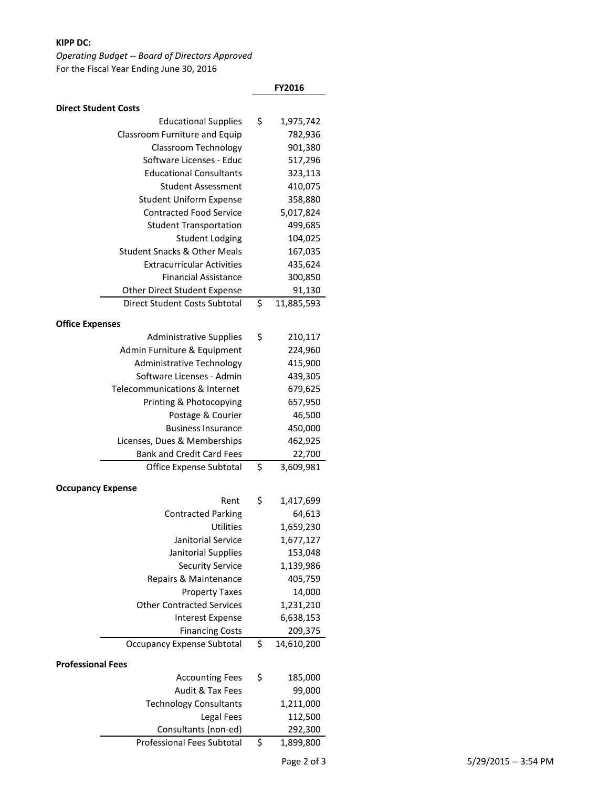## **KIPP DC:**

# *Operating Budget -- Board of Directors Approved* For the Fiscal Year Ending June 30, 2016

|                                         | FY2016               |
|-----------------------------------------|----------------------|
| <b>Direct Student Costs</b>             |                      |
| <b>Educational Supplies</b>             | \$<br>1,975,742      |
| Classroom Furniture and Equip           | 782,936              |
| Classroom Technology                    | 901,380              |
| Software Licenses - Educ                | 517,296              |
| <b>Educational Consultants</b>          | 323,113              |
| Student Assessment                      | 410,075              |
| <b>Student Uniform Expense</b>          | 358,880              |
| <b>Contracted Food Service</b>          | 5,017,824            |
| <b>Student Transportation</b>           | 499,685              |
| <b>Student Lodging</b>                  | 104,025              |
| <b>Student Snacks &amp; Other Meals</b> | 167,035              |
| <b>Extracurricular Activities</b>       | 435,624              |
| <b>Financial Assistance</b>             | 300,850              |
| Other Direct Student Expense            | 91,130               |
| <b>Direct Student Costs Subtotal</b>    | \$<br>11,885,593     |
| <b>Office Expenses</b>                  |                      |
| <b>Administrative Supplies</b>          | \$<br>210,117        |
| Admin Furniture & Equipment             | 224,960              |
| Administrative Technology               | 415,900              |
| Software Licenses - Admin               | 439,305              |
| Telecommunications & Internet           | 679,625              |
| Printing & Photocopying                 | 657,950              |
| Postage & Courier                       | 46,500               |
| <b>Business Insurance</b>               | 450,000              |
| Licenses, Dues & Memberships            | 462,925              |
| <b>Bank and Credit Card Fees</b>        | 22,700               |
| Office Expense Subtotal                 | \$<br>3,609,981      |
|                                         |                      |
| <b>Occupancy Expense</b>                |                      |
| Rent                                    | \$<br>1,417,699      |
| <b>Contracted Parking</b>               | 64,613               |
| Utilities<br>Janitorial Service         | 1,659,230            |
| Janitorial Supplies                     | 1,677,127<br>153,048 |
| <b>Security Service</b>                 | 1,139,986            |
| Repairs & Maintenance                   | 405,759              |
| <b>Property Taxes</b>                   | 14,000               |
| <b>Other Contracted Services</b>        | 1,231,210            |
| <b>Interest Expense</b>                 | 6,638,153            |
| <b>Financing Costs</b>                  | 209,375              |
| <b>Occupancy Expense Subtotal</b>       | \$<br>14,610,200     |
|                                         |                      |
| <b>Professional Fees</b>                |                      |
| <b>Accounting Fees</b>                  | \$<br>185,000        |
| Audit & Tax Fees                        | 99,000               |
| <b>Technology Consultants</b>           | 1,211,000            |
| Legal Fees                              | 112,500              |
| Consultants (non-ed)                    | 292,300              |
| Professional Fees Subtotal              | \$<br>1,899,800      |